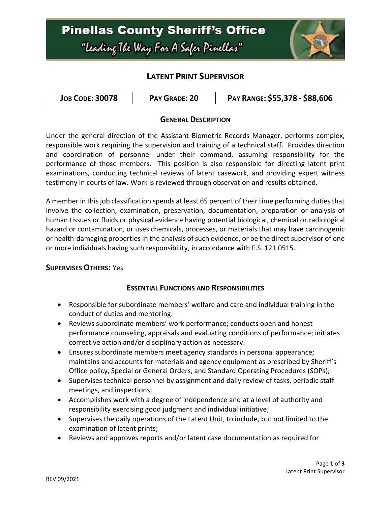# **Pinellas County Sheriff's Office** "Leading The Way For A Safer Pinellar"



## **LATENT PRINT SUPERVISOR**

| <b>JOB CODE: 30078</b><br>PAY GRADE: 20 | PAY RANGE: \$55,378 - \$88,606 |
|-----------------------------------------|--------------------------------|
|-----------------------------------------|--------------------------------|

#### **GENERAL DESCRIPTION**

Under the general direction of the Assistant Biometric Records Manager, performs complex, responsible work requiring the supervision and training of a technical staff. Provides direction and coordination of personnel under their command, assuming responsibility for the performance of those members. This position is also responsible for directing latent print examinations, conducting technical reviews of latent casework, and providing expert witness testimony in courts of law. Work is reviewed through observation and results obtained.

A member in this job classification spends at least 65 percent of their time performing duties that involve the collection, examination, preservation, documentation, preparation or analysis of human tissues or fluids or physical evidence having potential biological, chemical or radiological hazard or contamination, or uses chemicals, processes, or materials that may have carcinogenic or health-damaging properties in the analysis of such evidence, or be the direct supervisor of one or more individuals having such responsibility, in accordance with F.S. 121.0515.

#### **SUPERVISES OTHERS:** Yes

#### **ESSENTIAL FUNCTIONS AND RESPONSIBILITIES**

- Responsible for subordinate members' welfare and care and individual training in the conduct of duties and mentoring.
- Reviews subordinate members' work performance; conducts open and honest performance counseling, appraisals and evaluating conditions of performance; initiates corrective action and/or disciplinary action as necessary.
- Ensures subordinate members meet agency standards in personal appearance; maintains and accounts for materials and agency equipment as prescribed by Sheriff's Office policy, Special or General Orders, and Standard Operating Procedures (SOPs);
- Supervises technical personnel by assignment and daily review of tasks, periodic staff meetings, and inspections;
- Accomplishes work with a degree of independence and at a level of authority and responsibility exercising good judgment and individual initiative;
- Supervises the daily operations of the Latent Unit, to include, but not limited to the examination of latent prints;
- Reviews and approves reports and/or latent case documentation as required for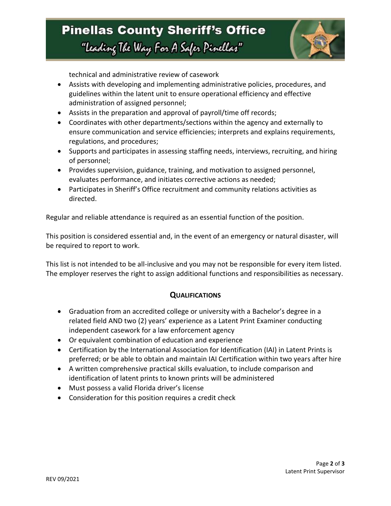## **Pinellas County Sheriff's Office** "Leading The Way For A Safer Pinellar"



technical and administrative review of casework

- Assists with developing and implementing administrative policies, procedures, and guidelines within the latent unit to ensure operational efficiency and effective administration of assigned personnel;
- Assists in the preparation and approval of payroll/time off records;
- Coordinates with other departments/sections within the agency and externally to ensure communication and service efficiencies; interprets and explains requirements, regulations, and procedures;
- Supports and participates in assessing staffing needs, interviews, recruiting, and hiring of personnel;
- Provides supervision, guidance, training, and motivation to assigned personnel, evaluates performance, and initiates corrective actions as needed;
- Participates in Sheriff's Office recruitment and community relations activities as directed.

Regular and reliable attendance is required as an essential function of the position.

This position is considered essential and, in the event of an emergency or natural disaster, will be required to report to work.

This list is not intended to be all-inclusive and you may not be responsible for every item listed. The employer reserves the right to assign additional functions and responsibilities as necessary.

### **QUALIFICATIONS**

- Graduation from an accredited college or university with a Bachelor's degree in a related field AND two (2) years' experience as a Latent Print Examiner conducting independent casework for a law enforcement agency
- Or equivalent combination of education and experience
- Certification by the International Association for Identification (IAI) in Latent Prints is preferred; or be able to obtain and maintain IAI Certification within two years after hire
- A written comprehensive practical skills evaluation, to include comparison and identification of latent prints to known prints will be administered
- Must possess a valid Florida driver's license
- Consideration for this position requires a credit check